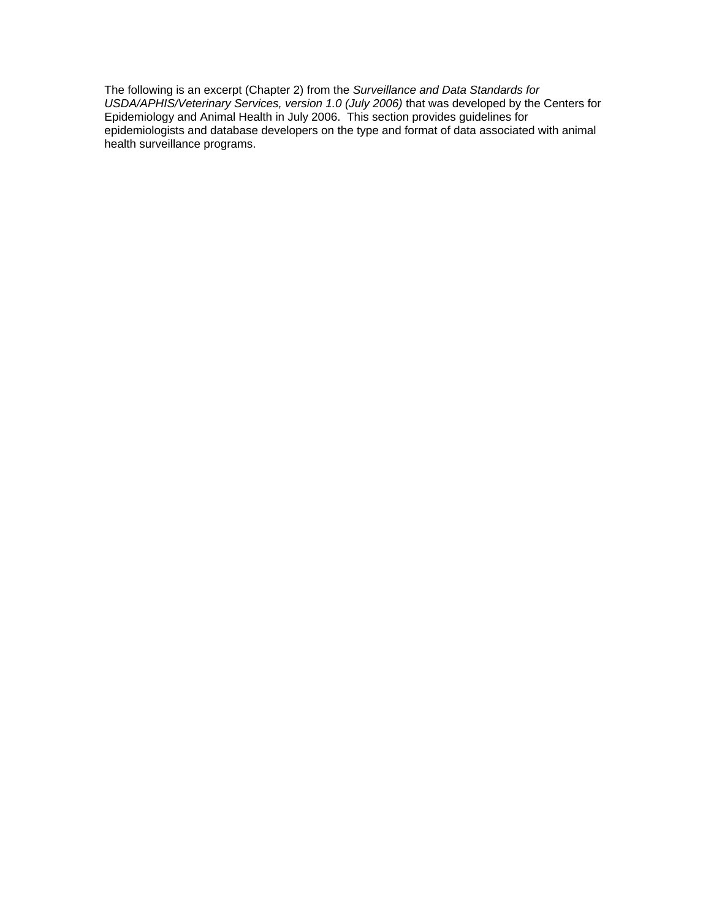The following is an excerpt (Chapter 2) from the *Surveillance and Data Standards for USDA/APHIS/Veterinary Services, version 1.0 (July 2006)* that was developed by the Centers for Epidemiology and Animal Health in July 2006. This section provides guidelines for epidemiologists and database developers on the type and format of data associated with animal health surveillance programs.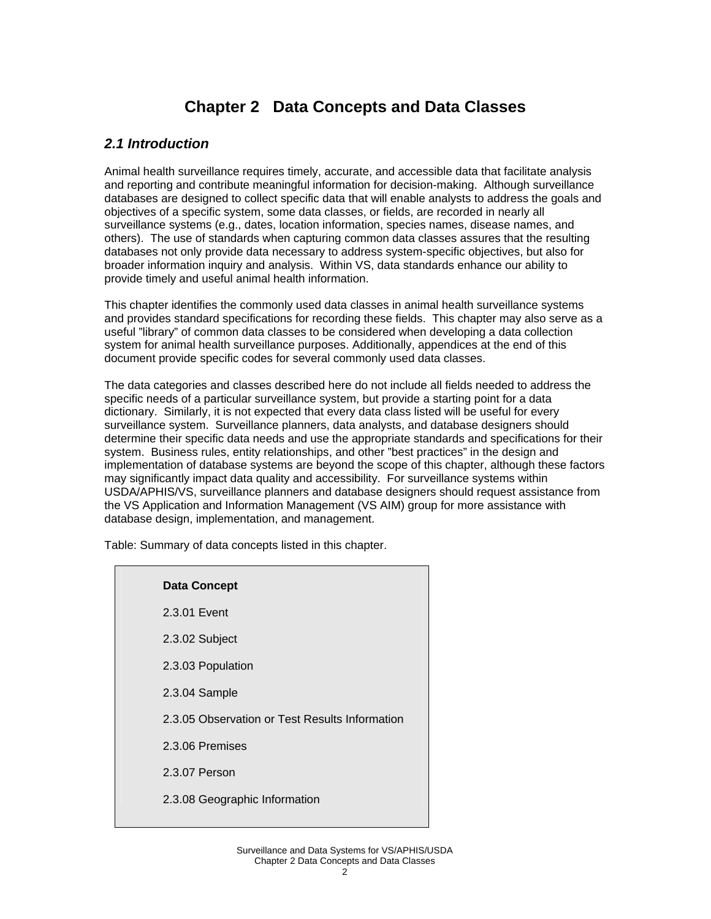# **Chapter 2 Data Concepts and Data Classes**

# *2.1 Introduction*

Animal health surveillance requires timely, accurate, and accessible data that facilitate analysis and reporting and contribute meaningful information for decision-making. Although surveillance databases are designed to collect specific data that will enable analysts to address the goals and objectives of a specific system, some data classes, or fields, are recorded in nearly all surveillance systems (e.g., dates, location information, species names, disease names, and others). The use of standards when capturing common data classes assures that the resulting databases not only provide data necessary to address system-specific objectives, but also for broader information inquiry and analysis. Within VS, data standards enhance our ability to provide timely and useful animal health information.

This chapter identifies the commonly used data classes in animal health surveillance systems and provides standard specifications for recording these fields. This chapter may also serve as a useful "library" of common data classes to be considered when developing a data collection system for animal health surveillance purposes. Additionally, appendices at the end of this document provide specific codes for several commonly used data classes.

The data categories and classes described here do not include all fields needed to address the specific needs of a particular surveillance system, but provide a starting point for a data dictionary. Similarly, it is not expected that every data class listed will be useful for every surveillance system. Surveillance planners, data analysts, and database designers should determine their specific data needs and use the appropriate standards and specifications for their system. Business rules, entity relationships, and other "best practices" in the design and implementation of database systems are beyond the scope of this chapter, although these factors may significantly impact data quality and accessibility. For surveillance systems within USDA/APHIS/VS, surveillance planners and database designers should request assistance from the VS Application and Information Management (VS AIM) group for more assistance with database design, implementation, and management.

Table: Summary of data concepts listed in this chapter.

#### **Data Concept**

| 2.3.01 Event                                   |
|------------------------------------------------|
| 2.3.02 Subject                                 |
| 2.3.03 Population                              |
| 2.3.04 Sample                                  |
| 2.3.05 Observation or Test Results Information |
| 2.3.06 Premises                                |
| 2.3.07 Person                                  |
| 2.3.08 Geographic Information                  |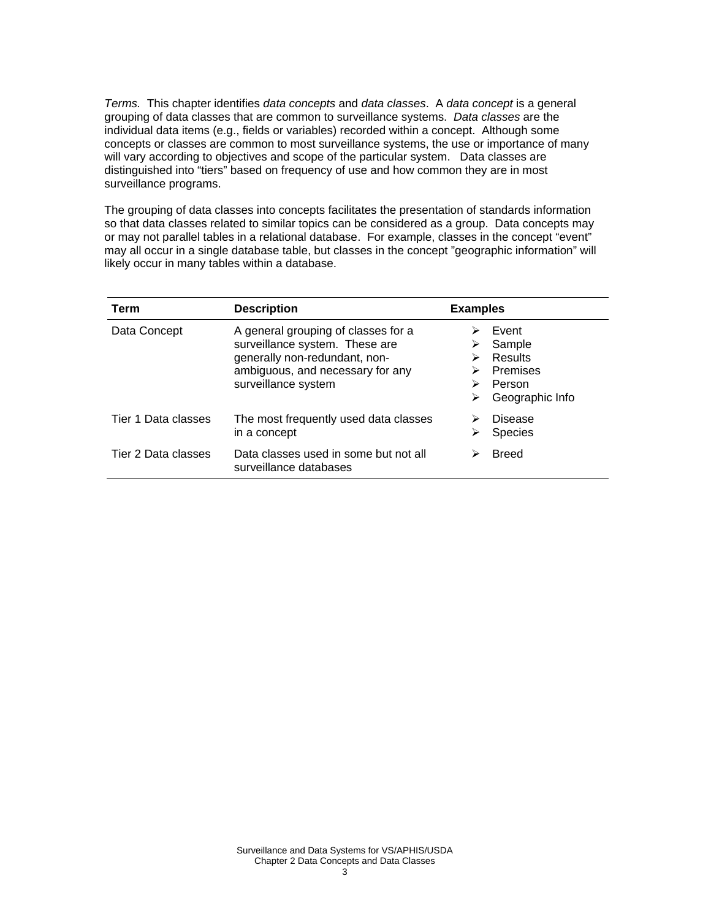*Terms.* This chapter identifies *data concepts* and *data classes*. A *data concept* is a general grouping of data classes that are common to surveillance systems. *Data classes* are the individual data items (e.g., fields or variables) recorded within a concept. Although some concepts or classes are common to most surveillance systems, the use or importance of many will vary according to objectives and scope of the particular system. Data classes are distinguished into "tiers" based on frequency of use and how common they are in most surveillance programs.

The grouping of data classes into concepts facilitates the presentation of standards information so that data classes related to similar topics can be considered as a group. Data concepts may or may not parallel tables in a relational database. For example, classes in the concept "event" may all occur in a single database table, but classes in the concept "geographic information" will likely occur in many tables within a database.

| Term                | <b>Description</b>                                                                                                                                                | <b>Examples</b>                                                     |
|---------------------|-------------------------------------------------------------------------------------------------------------------------------------------------------------------|---------------------------------------------------------------------|
| Data Concept        | A general grouping of classes for a<br>surveillance system. These are<br>generally non-redundant, non-<br>ambiguous, and necessary for any<br>surveillance system | Event<br>Sample<br>Results<br>Premises<br>Person<br>Geographic Info |
| Tier 1 Data classes | The most frequently used data classes<br>in a concept                                                                                                             | Disease<br><b>Species</b>                                           |
| Tier 2 Data classes | Data classes used in some but not all<br>surveillance databases                                                                                                   | <b>Breed</b>                                                        |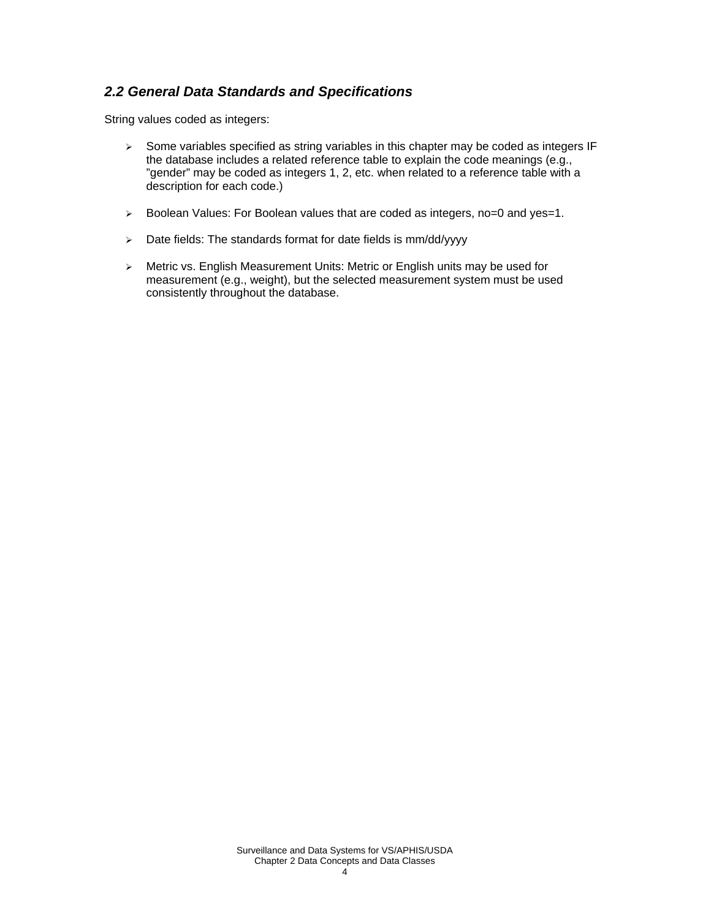# *2.2 General Data Standards and Specifications*

String values coded as integers:

- ¾ Some variables specified as string variables in this chapter may be coded as integers IF the database includes a related reference table to explain the code meanings (e.g., "gender" may be coded as integers 1, 2, etc. when related to a reference table with a description for each code.)
- ¾ Boolean Values: For Boolean values that are coded as integers, no=0 and yes=1.
- ¾ Date fields: The standards format for date fields is mm/dd/yyyy
- ¾ Metric vs. English Measurement Units: Metric or English units may be used for measurement (e.g., weight), but the selected measurement system must be used consistently throughout the database.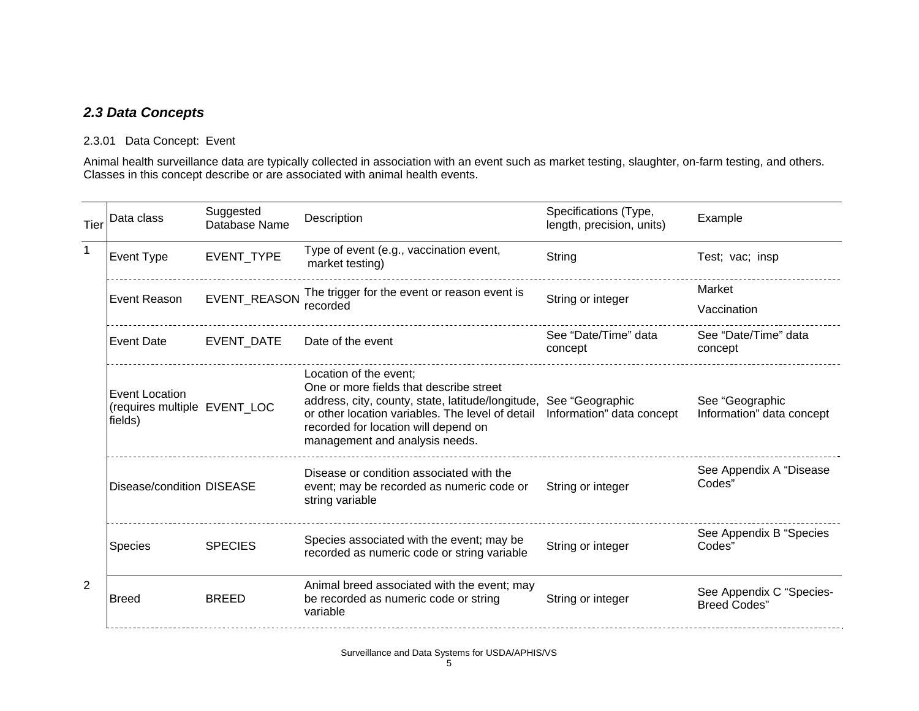# *2.3 Data Concepts*

### 2.3.01 Data Concept: Event

Animal health surveillance data are typically collected in association with an event such as market testing, slaughter, on-farm testing, and others. Classes in this concept describe or are associated with animal health events.

| Tier | Data class                                                       | Suggested<br>Database Name | Description                                                                                                                                                                                                                                                          | Specifications (Type,<br>length, precision, units) | Example                                         |
|------|------------------------------------------------------------------|----------------------------|----------------------------------------------------------------------------------------------------------------------------------------------------------------------------------------------------------------------------------------------------------------------|----------------------------------------------------|-------------------------------------------------|
|      | Event Type                                                       | EVENT_TYPE                 | Type of event (e.g., vaccination event,<br>market testing)                                                                                                                                                                                                           | String                                             | Test; vac; insp                                 |
|      | Event Reason                                                     |                            | EVENT_REASON The trigger for the event or reason event is<br>recorded                                                                                                                                                                                                | String or integer                                  | Market<br>Vaccination                           |
|      | <b>Event Date</b>                                                | <b>EVENT DATE</b>          | Date of the event                                                                                                                                                                                                                                                    | See "Date/Time" data<br>concept                    | See "Date/Time" data<br>concept                 |
|      | <b>Event Location</b><br>(requires multiple EVENT_LOC<br>fields) |                            | Location of the event:<br>One or more fields that describe street<br>address, city, county, state, latitude/longitude, See "Geographic<br>or other location variables. The level of detail<br>recorded for location will depend on<br>management and analysis needs. | Information" data concept                          | See "Geographic<br>Information" data concept    |
|      | Disease/condition DISEASE                                        |                            | Disease or condition associated with the<br>event; may be recorded as numeric code or<br>string variable                                                                                                                                                             | String or integer                                  | See Appendix A "Disease<br>Codes"               |
|      | Species                                                          | <b>SPECIES</b>             | Species associated with the event; may be<br>recorded as numeric code or string variable                                                                                                                                                                             | String or integer                                  | See Appendix B "Species<br>Codes"               |
| 2    | <b>Breed</b>                                                     | <b>BREED</b>               | Animal breed associated with the event; may<br>be recorded as numeric code or string<br>variable                                                                                                                                                                     | String or integer                                  | See Appendix C "Species-<br><b>Breed Codes"</b> |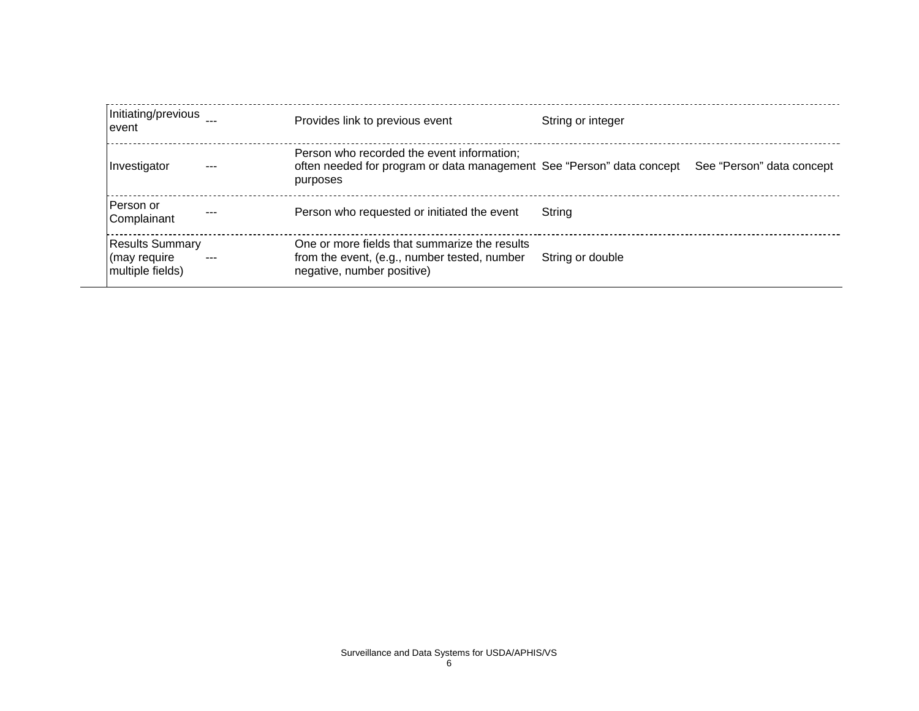| Initiating/previous<br>event                               | Provides link to previous event                                                                                             | String or integer                                                                               |
|------------------------------------------------------------|-----------------------------------------------------------------------------------------------------------------------------|-------------------------------------------------------------------------------------------------|
| Investigator                                               | Person who recorded the event information;<br>purposes                                                                      | often needed for program or data management See "Person" data concept See "Person" data concept |
| IPerson or<br>Complainant                                  | Person who requested or initiated the event                                                                                 | String                                                                                          |
| <b>Results Summary</b><br>(may require<br>multiple fields) | One or more fields that summarize the results<br>from the event, (e.g., number tested, number<br>negative, number positive) | String or double                                                                                |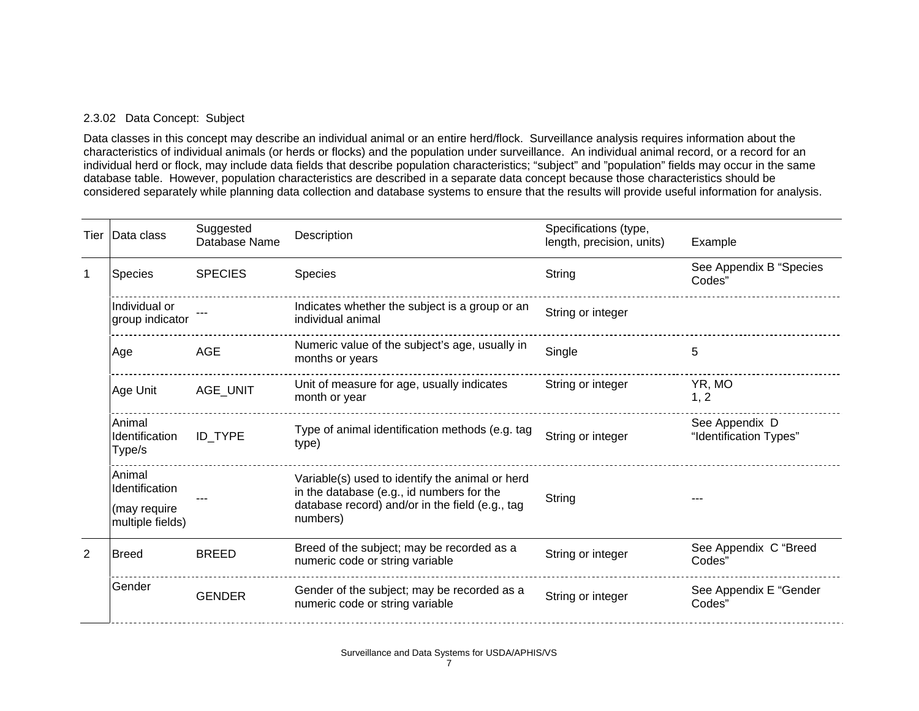#### 2.3.02 Data Concept: Subject

Data classes in this concept may describe an individual animal or an entire herd/flock. Surveillance analysis requires information about the characteristics of individual animals (or herds or flocks) and the population under surveillance. An individual animal record, or a record for an individual herd or flock, may include data fields that describe population characteristics; "subject" and "population" fields may occur in the same database table. However, population characteristics are described in a separate data concept because those characteristics should be considered separately while planning data collection and database systems to ensure that the results will provide useful information for analysis.

| Tier           | Data class                                                   | Suggested<br>Database Name | Description                                                                                                                                                 | Specifications (type,<br>length, precision, units) | Example                                  |
|----------------|--------------------------------------------------------------|----------------------------|-------------------------------------------------------------------------------------------------------------------------------------------------------------|----------------------------------------------------|------------------------------------------|
| $\mathbf 1$    | <b>Species</b>                                               | <b>SPECIES</b>             | <b>Species</b>                                                                                                                                              | String                                             | See Appendix B "Species<br>Codes"        |
|                | Individual or<br>group indicator                             |                            | Indicates whether the subject is a group or an<br>individual animal                                                                                         | String or integer                                  |                                          |
|                | Age                                                          | <b>AGE</b>                 | Numeric value of the subject's age, usually in<br>months or years                                                                                           | Single                                             | 5                                        |
|                | Age Unit                                                     | AGE UNIT                   | Unit of measure for age, usually indicates<br>month or year                                                                                                 | String or integer                                  | YR, MO<br>1, 2                           |
|                | Animal<br>Identification<br>Type/s                           | <b>ID_TYPE</b>             | Type of animal identification methods (e.g. tag<br>type)                                                                                                    | String or integer                                  | See Appendix D<br>"Identification Types" |
|                | Animal<br>Identification<br>(may require<br>multiple fields) |                            | Variable(s) used to identify the animal or herd<br>in the database (e.g., id numbers for the<br>database record) and/or in the field (e.g., tag<br>numbers) | String                                             |                                          |
| $\overline{2}$ | <b>Breed</b>                                                 | <b>BREED</b>               | Breed of the subject; may be recorded as a<br>numeric code or string variable                                                                               | String or integer                                  | See Appendix C "Breed<br>Codes"          |
|                | Gender                                                       | <b>GENDER</b>              | Gender of the subject; may be recorded as a<br>numeric code or string variable                                                                              | String or integer                                  | See Appendix E "Gender<br>Codes"         |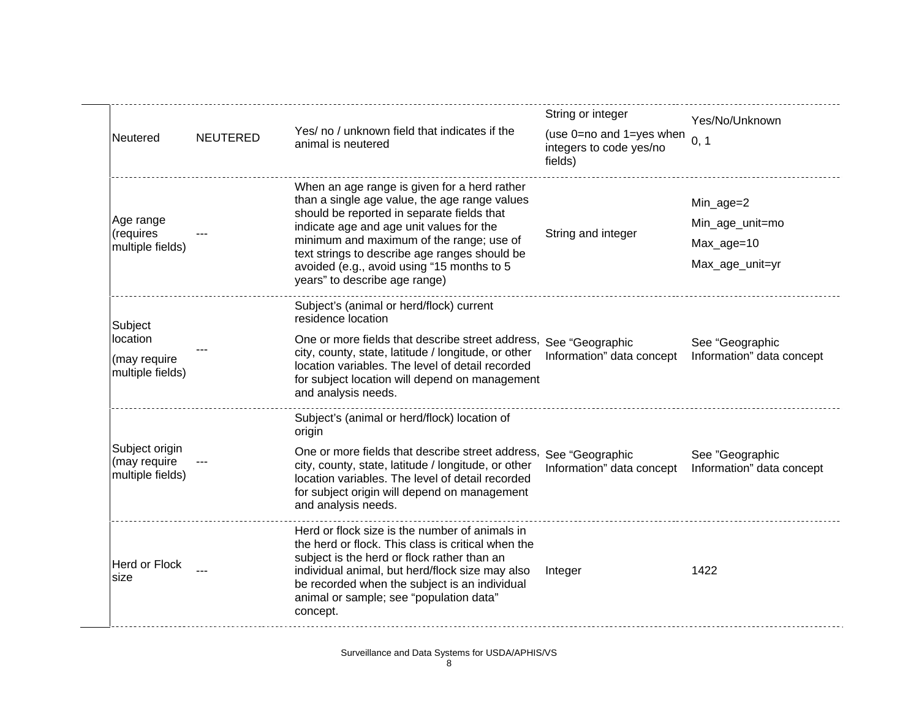| Neutered                                                | <b>NEUTERED</b> | Yes/ no / unknown field that indicates if the<br>animal is neutered                                                                                                                                                                                                                                                                                                 | String or integer<br>(use 0=no and 1=yes when $_{0, 1}$<br>integers to code yes/no<br>fields) | Yes/No/Unknown                                                |
|---------------------------------------------------------|-----------------|---------------------------------------------------------------------------------------------------------------------------------------------------------------------------------------------------------------------------------------------------------------------------------------------------------------------------------------------------------------------|-----------------------------------------------------------------------------------------------|---------------------------------------------------------------|
| Age range<br>(requires<br>multiple fields)              |                 | When an age range is given for a herd rather<br>than a single age value, the age range values<br>should be reported in separate fields that<br>indicate age and age unit values for the<br>minimum and maximum of the range; use of<br>text strings to describe age ranges should be<br>avoided (e.g., avoid using "15 months to 5<br>years" to describe age range) | String and integer                                                                            | Min_age=2<br>Min_age_unit=mo<br>Max_age=10<br>Max_age_unit=yr |
| Subject<br>location<br>(may require<br>multiple fields) |                 | Subject's (animal or herd/flock) current<br>residence location<br>One or more fields that describe street address, See "Geographic<br>city, county, state, latitude / longitude, or other<br>location variables. The level of detail recorded<br>for subject location will depend on management<br>and analysis needs.                                              | Information" data concept                                                                     | See "Geographic<br>Information" data concept                  |
| Subject origin<br>(may require<br>multiple fields)      |                 | Subject's (animal or herd/flock) location of<br>origin<br>One or more fields that describe street address, See "Geographic<br>city, county, state, latitude / longitude, or other<br>location variables. The level of detail recorded<br>for subject origin will depend on management<br>and analysis needs.                                                        | Information" data concept                                                                     | See "Geographic<br>Information" data concept                  |
| Herd or Flock<br>size                                   |                 | Herd or flock size is the number of animals in<br>the herd or flock. This class is critical when the<br>subject is the herd or flock rather than an<br>individual animal, but herd/flock size may also<br>be recorded when the subject is an individual<br>animal or sample; see "population data"<br>concept.                                                      | Integer                                                                                       | 1422                                                          |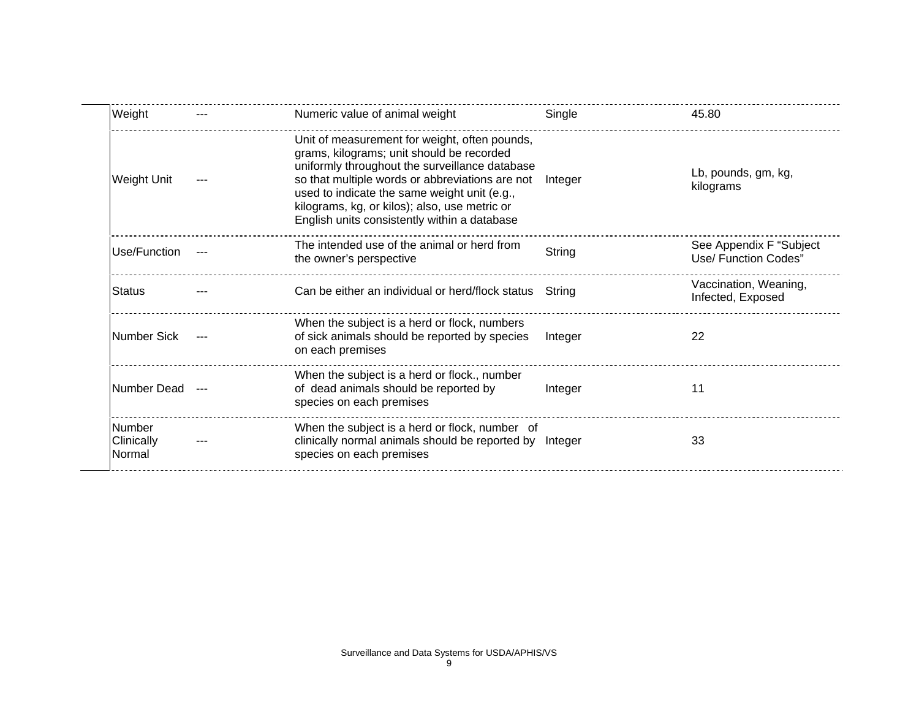| Weight                                | Numeric value of animal weight                                                                                                                                                                                                                                                                                                                   | Single  | 45.80                                           |
|---------------------------------------|--------------------------------------------------------------------------------------------------------------------------------------------------------------------------------------------------------------------------------------------------------------------------------------------------------------------------------------------------|---------|-------------------------------------------------|
| Weight Unit                           | Unit of measurement for weight, often pounds,<br>grams, kilograms; unit should be recorded<br>uniformly throughout the surveillance database<br>so that multiple words or abbreviations are not<br>used to indicate the same weight unit (e.g.,<br>kilograms, kg, or kilos); also, use metric or<br>English units consistently within a database | Integer | Lb, pounds, gm, kg,<br>kilograms                |
| Use/Function                          | The intended use of the animal or herd from<br>the owner's perspective                                                                                                                                                                                                                                                                           | String  | See Appendix F "Subject<br>Use/ Function Codes" |
| <b>Status</b>                         | Can be either an individual or herd/flock status                                                                                                                                                                                                                                                                                                 | Strina  | Vaccination, Weaning,<br>Infected, Exposed      |
| Number Sick                           | When the subject is a herd or flock, numbers<br>of sick animals should be reported by species<br>on each premises                                                                                                                                                                                                                                | Integer | 22                                              |
| Number Dead                           | When the subject is a herd or flock., number<br>of dead animals should be reported by<br>species on each premises                                                                                                                                                                                                                                | Integer | 11                                              |
| <b>Number</b><br>Clinically<br>Normal | When the subject is a herd or flock, number of<br>clinically normal animals should be reported by<br>species on each premises                                                                                                                                                                                                                    | Integer | 33                                              |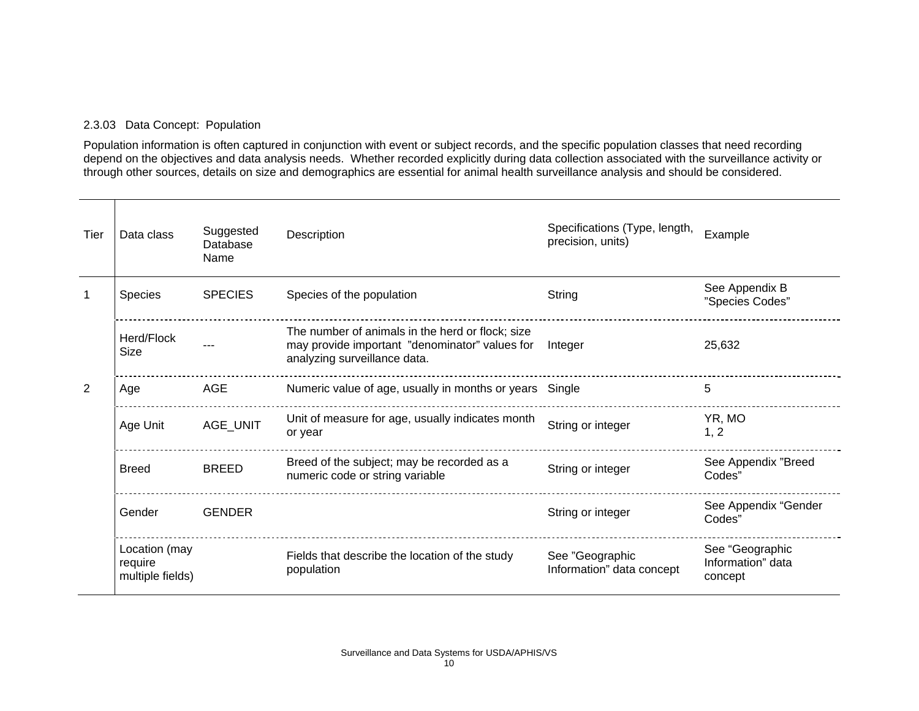#### 2.3.03 Data Concept: Population

Population information is often captured in conjunction with event or subject records, and the specific population classes that need recording depend on the objectives and data analysis needs. Whether recorded explicitly during data collection associated with the surveillance activity or through other sources, details on size and demographics are essential for animal health surveillance analysis and should be considered.

| Tier         | Data class                                   | Suggested<br>Database<br>Name | Description                                                                                                                        | Specifications (Type, length,<br>precision, units) | Example                                         |
|--------------|----------------------------------------------|-------------------------------|------------------------------------------------------------------------------------------------------------------------------------|----------------------------------------------------|-------------------------------------------------|
| $\mathbf{1}$ | <b>Species</b>                               | <b>SPECIES</b>                | Species of the population                                                                                                          | String                                             | See Appendix B<br>"Species Codes"               |
|              | Herd/Flock<br>Size                           |                               | The number of animals in the herd or flock; size<br>may provide important "denominator" values for<br>analyzing surveillance data. | Integer                                            | 25,632                                          |
| 2            | Age                                          | <b>AGE</b>                    | Numeric value of age, usually in months or years Single                                                                            |                                                    | 5                                               |
|              | Age Unit                                     | AGE_UNIT                      | Unit of measure for age, usually indicates month<br>or year                                                                        | String or integer                                  | YR, MO<br>1, 2                                  |
|              | <b>Breed</b>                                 | <b>BREED</b>                  | Breed of the subject; may be recorded as a<br>numeric code or string variable                                                      | String or integer                                  | See Appendix "Breed<br>Codes"                   |
|              | Gender                                       | <b>GENDER</b>                 |                                                                                                                                    | String or integer                                  | See Appendix "Gender<br>Codes"                  |
|              | Location (may<br>require<br>multiple fields) |                               | Fields that describe the location of the study<br>population                                                                       | See "Geographic<br>Information" data concept       | See "Geographic<br>Information" data<br>concept |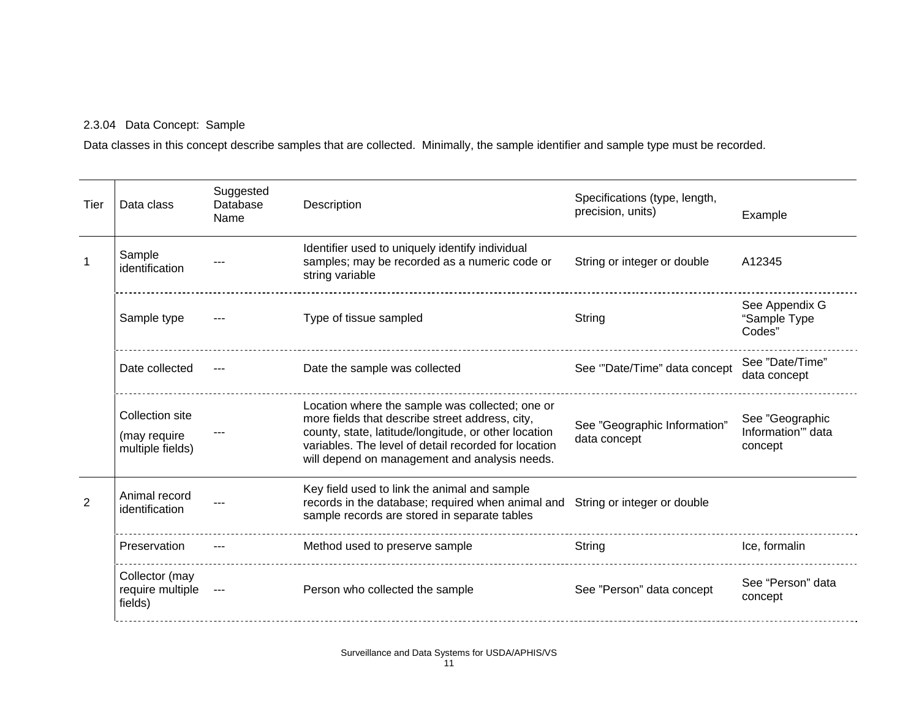# 2.3.04 Data Concept: Sample

Data classes in this concept describe samples that are collected. Minimally, the sample identifier and sample type must be recorded.

| Tier | Data class                                                 | Suggested<br>Database<br>Name | Description                                                                                                                                                                                                                                                         | Specifications (type, length,<br>precision, units) | Example                                         |
|------|------------------------------------------------------------|-------------------------------|---------------------------------------------------------------------------------------------------------------------------------------------------------------------------------------------------------------------------------------------------------------------|----------------------------------------------------|-------------------------------------------------|
|      | Sample<br>identification                                   |                               | Identifier used to uniquely identify individual<br>samples; may be recorded as a numeric code or<br>string variable                                                                                                                                                 | String or integer or double                        | A12345                                          |
|      | Sample type                                                |                               | Type of tissue sampled                                                                                                                                                                                                                                              | String                                             | See Appendix G<br>"Sample Type<br>Codes"        |
|      | Date collected                                             |                               | Date the sample was collected                                                                                                                                                                                                                                       | See "Date/Time" data concept                       | See "Date/Time"<br>data concept                 |
|      | <b>Collection site</b><br>(may require<br>multiple fields) |                               | Location where the sample was collected; one or<br>more fields that describe street address, city,<br>county, state, latitude/longitude, or other location<br>variables. The level of detail recorded for location<br>will depend on management and analysis needs. | See "Geographic Information"<br>data concept       | See "Geographic<br>Information" data<br>concept |
| 2    | Animal record<br>identification                            |                               | Key field used to link the animal and sample<br>records in the database; required when animal and<br>sample records are stored in separate tables                                                                                                                   | String or integer or double                        |                                                 |
|      | Preservation                                               |                               | Method used to preserve sample                                                                                                                                                                                                                                      | String                                             | Ice, formalin                                   |
|      | Collector (may<br>require multiple<br>fields)              | $\sim$ $\sim$                 | Person who collected the sample                                                                                                                                                                                                                                     | See "Person" data concept                          | See "Person" data<br>concept                    |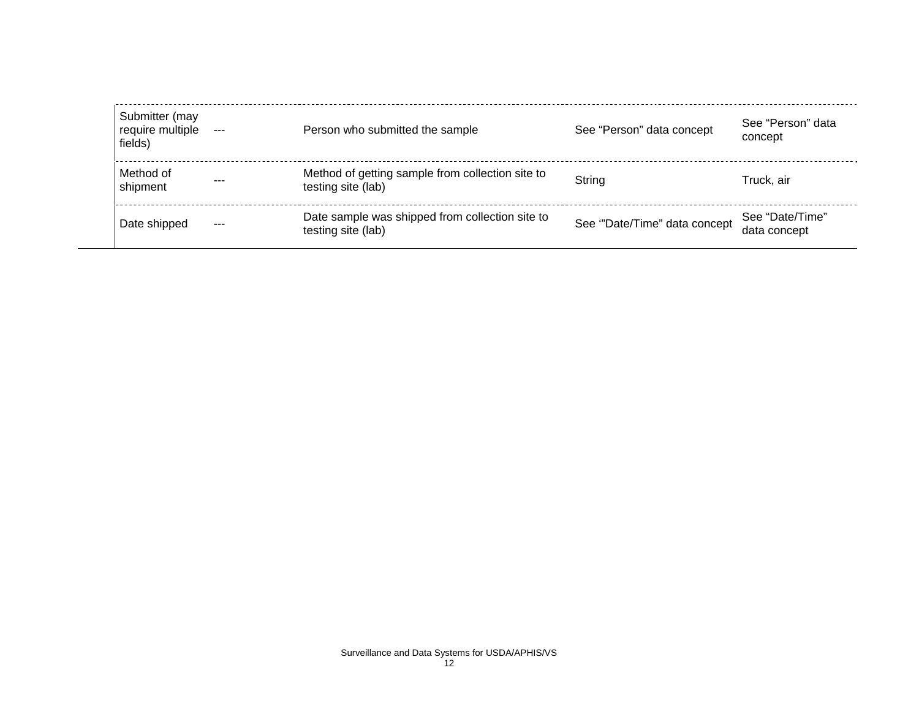| Submitter (may<br>require multiple<br>fields) |         | Person who submitted the sample                                        | See "Person" data concept    | See "Person" data<br>concept    |
|-----------------------------------------------|---------|------------------------------------------------------------------------|------------------------------|---------------------------------|
| Method of<br>shipment                         | $- - -$ | Method of getting sample from collection site to<br>testing site (lab) | String                       | Truck, air                      |
| Date shipped                                  | $- - -$ | Date sample was shipped from collection site to<br>testing site (lab)  | See "Date/Time" data concept | See "Date/Time"<br>data concept |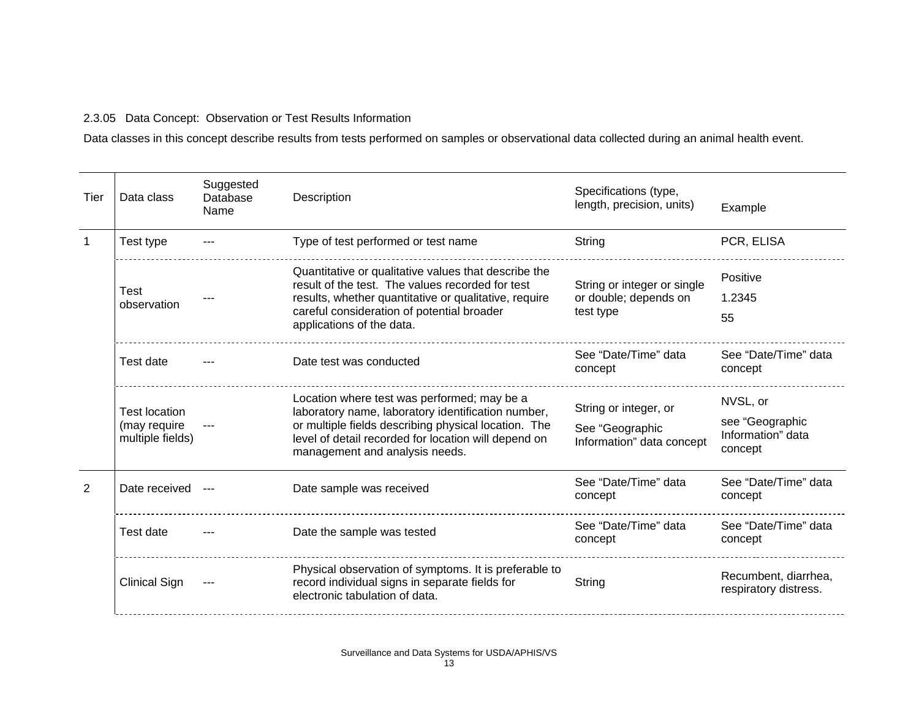#### 2.3.05 Data Concept: Observation or Test Results Information

Data classes in this concept describe results from tests performed on samples or observational data collected during an animal health event.

| Tier           | Data class                                               | Suggested<br>Database<br>Name | Description                                                                                                                                                                                                                                         | Specifications (type,<br>length, precision, units)                    | Example                                                     |
|----------------|----------------------------------------------------------|-------------------------------|-----------------------------------------------------------------------------------------------------------------------------------------------------------------------------------------------------------------------------------------------------|-----------------------------------------------------------------------|-------------------------------------------------------------|
|                | Test type                                                |                               | Type of test performed or test name                                                                                                                                                                                                                 | String                                                                | PCR, ELISA                                                  |
|                | <b>Test</b><br>observation                               |                               | Quantitative or qualitative values that describe the<br>result of the test. The values recorded for test<br>results, whether quantitative or qualitative, require<br>careful consideration of potential broader<br>applications of the data.        | String or integer or single<br>or double; depends on<br>test type     | Positive<br>1.2345<br>55                                    |
|                | Test date                                                |                               | Date test was conducted                                                                                                                                                                                                                             | See "Date/Time" data<br>concept                                       | See "Date/Time" data<br>concept                             |
|                | <b>Test location</b><br>(may require<br>multiple fields) |                               | Location where test was performed; may be a<br>laboratory name, laboratory identification number,<br>or multiple fields describing physical location. The<br>level of detail recorded for location will depend on<br>management and analysis needs. | String or integer, or<br>See "Geographic<br>Information" data concept | NVSL, or<br>see "Geographic<br>Information" data<br>concept |
| $\overline{2}$ | Date received ---                                        |                               | Date sample was received                                                                                                                                                                                                                            | See "Date/Time" data<br>concept                                       | See "Date/Time" data<br>concept                             |
|                | Test date                                                |                               | Date the sample was tested                                                                                                                                                                                                                          | See "Date/Time" data<br>concept                                       | See "Date/Time" data<br>concept                             |
|                | Clinical Sign                                            |                               | Physical observation of symptoms. It is preferable to<br>record individual signs in separate fields for<br>electronic tabulation of data.                                                                                                           | String                                                                | Recumbent, diarrhea,<br>respiratory distress.               |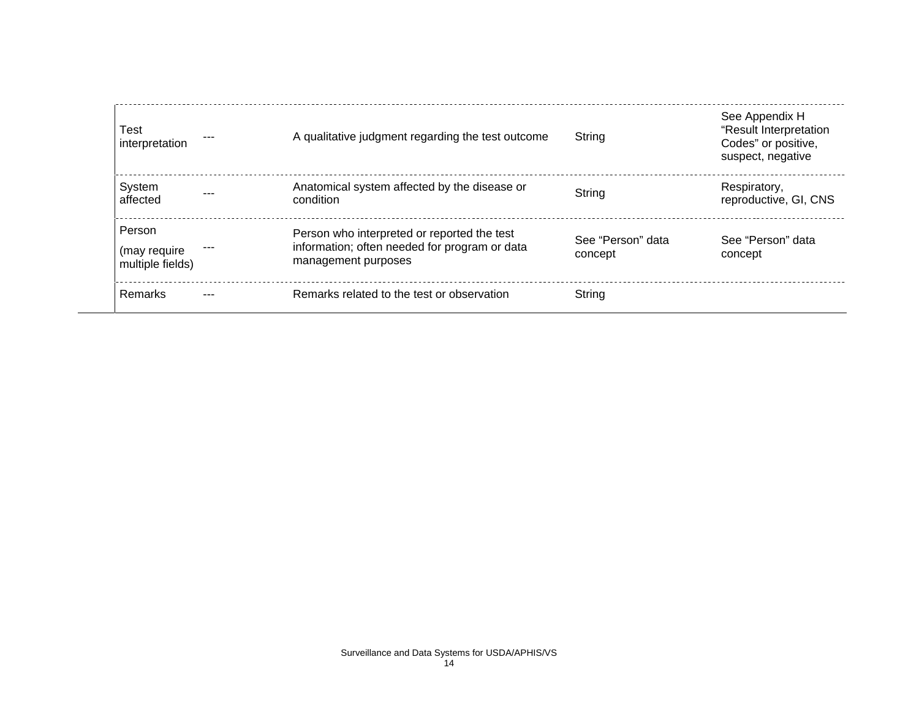| Test<br>interpretation                     | A qualitative judgment regarding the test outcome                                                                   | String                       | See Appendix H<br>"Result Interpretation<br>Codes" or positive,<br>suspect, negative |
|--------------------------------------------|---------------------------------------------------------------------------------------------------------------------|------------------------------|--------------------------------------------------------------------------------------|
| System<br>affected                         | Anatomical system affected by the disease or<br>condition                                                           | String                       | Respiratory,<br>reproductive, GI, CNS                                                |
| Person<br>(may require<br>multiple fields) | Person who interpreted or reported the test<br>information; often needed for program or data<br>management purposes | See "Person" data<br>concept | See "Person" data<br>concept                                                         |
| <b>Remarks</b>                             | Remarks related to the test or observation                                                                          | String                       |                                                                                      |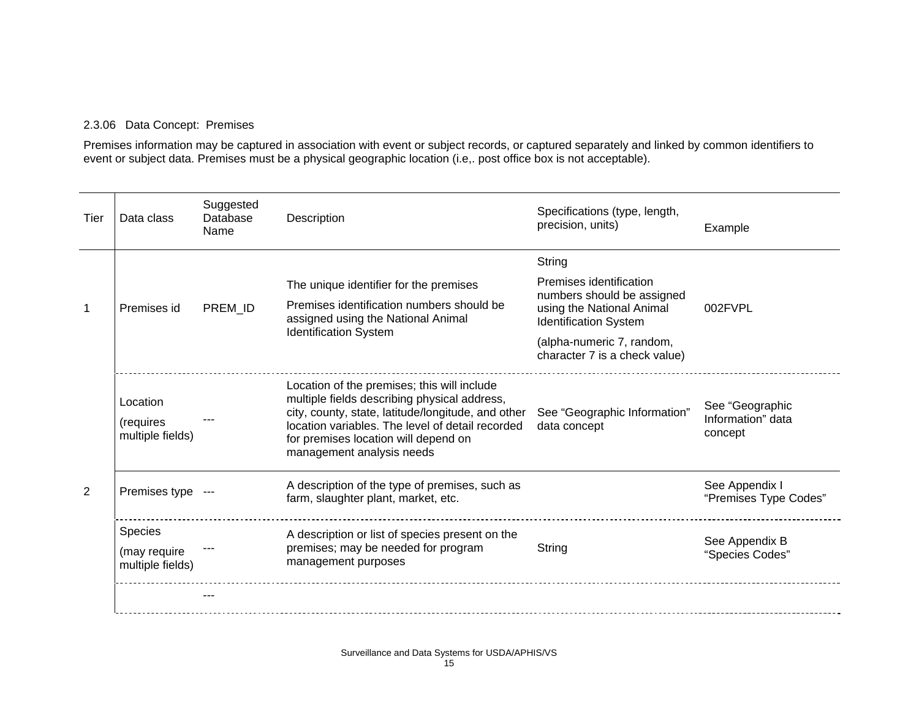#### 2.3.06 Data Concept: Premises

Premises information may be captured in association with event or subject records, or captured separately and linked by common identifiers to event or subject data. Premises must be a physical geographic location (i.e,. post office box is not acceptable).

| Tier | Data class                                | Suggested<br>Database<br>Name | Description                                                                                                                                                                                                                                                                | Specifications (type, length,<br>precision, units)                   | Example                                         |
|------|-------------------------------------------|-------------------------------|----------------------------------------------------------------------------------------------------------------------------------------------------------------------------------------------------------------------------------------------------------------------------|----------------------------------------------------------------------|-------------------------------------------------|
|      |                                           |                               |                                                                                                                                                                                                                                                                            | String                                                               |                                                 |
|      | Premises id                               |                               | The unique identifier for the premises                                                                                                                                                                                                                                     | Premises identification<br>numbers should be assigned                |                                                 |
| 1    |                                           | PREM ID                       | Premises identification numbers should be<br>assigned using the National Animal<br><b>Identification System</b>                                                                                                                                                            | using the National Animal<br>002FVPL<br><b>Identification System</b> |                                                 |
|      |                                           |                               |                                                                                                                                                                                                                                                                            | (alpha-numeric 7, random,<br>character 7 is a check value)           |                                                 |
|      | Location<br>(requires<br>multiple fields) |                               | Location of the premises; this will include<br>multiple fields describing physical address,<br>city, county, state, latitude/longitude, and other<br>location variables. The level of detail recorded<br>for premises location will depend on<br>management analysis needs | See "Geographic Information"<br>data concept                         | See "Geographic<br>Information" data<br>concept |
| 2    | Premises type ---                         |                               | A description of the type of premises, such as<br>farm, slaughter plant, market, etc.                                                                                                                                                                                      |                                                                      | See Appendix I<br>"Premises Type Codes"         |
|      | <b>Species</b>                            |                               | A description or list of species present on the                                                                                                                                                                                                                            |                                                                      |                                                 |
|      | (may require<br>multiple fields)          |                               | premises; may be needed for program<br>management purposes                                                                                                                                                                                                                 | String                                                               | See Appendix B<br>"Species Codes"               |
|      |                                           |                               |                                                                                                                                                                                                                                                                            |                                                                      |                                                 |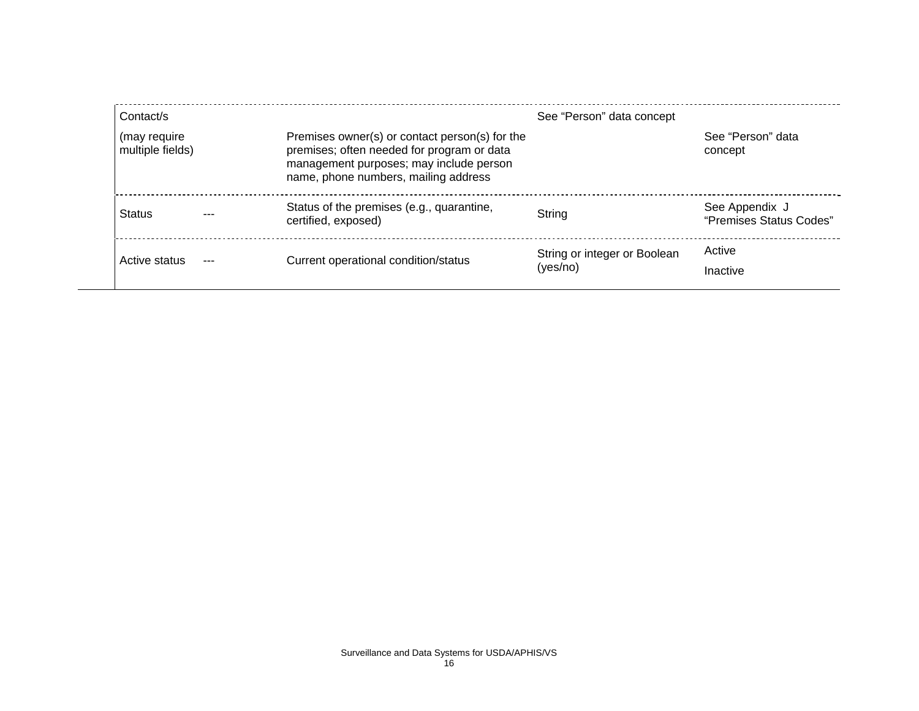| Contact/s                        |  |                                                                                                                                                                                 | See "Person" data concept                |                                           |  |
|----------------------------------|--|---------------------------------------------------------------------------------------------------------------------------------------------------------------------------------|------------------------------------------|-------------------------------------------|--|
| (may require<br>multiple fields) |  | Premises owner(s) or contact person(s) for the<br>premises; often needed for program or data<br>management purposes; may include person<br>name, phone numbers, mailing address |                                          | See "Person" data<br>concept              |  |
| <b>Status</b>                    |  | Status of the premises (e.g., quarantine,<br>certified, exposed)                                                                                                                | String                                   | See Appendix J<br>"Premises Status Codes" |  |
| Active status                    |  | Current operational condition/status                                                                                                                                            | String or integer or Boolean<br>(yes/no) | Active<br>Inactive                        |  |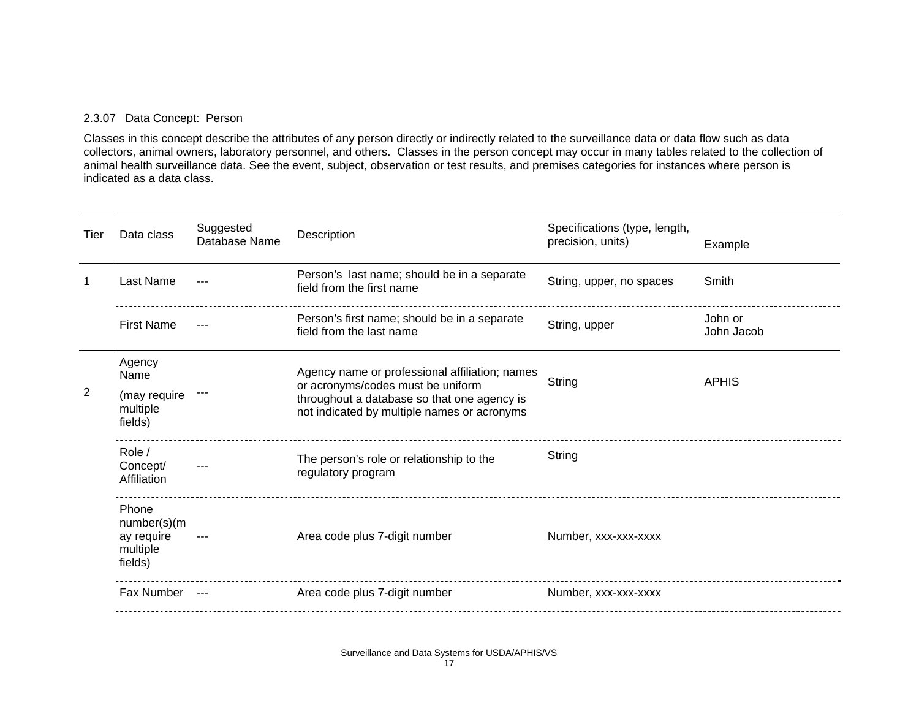#### 2.3.07 Data Concept: Person

Classes in this concept describe the attributes of any person directly or indirectly related to the surveillance data or data flow such as data collectors, animal owners, laboratory personnel, and others. Classes in the person concept may occur in many tables related to the collection of animal health surveillance data. See the event, subject, observation or test results, and premises categories for instances where person is indicated as a data class.

| Person's last name; should be in a separate<br>Smith<br>Last Name<br>String, upper, no spaces<br>field from the first name<br>Person's first name; should be in a separate<br>John or<br><b>First Name</b><br>String, upper<br>---<br>field from the last name<br>John Jacob<br>Agency<br>Agency name or professional affiliation; names<br>Name<br>String<br><b>APHIS</b><br>or acronyms/codes must be uniform<br>2<br>(may require<br>throughout a database so that one agency is<br>multiple<br>not indicated by multiple names or acronyms<br>fields)<br>Role /<br>String<br>The person's role or relationship to the<br>Concept/<br>regulatory program<br>Affiliation<br>Phone<br>number(s)(m)<br>Area code plus 7-digit number<br>Number, xxx-xxx-xxxx<br>ay require | Data class | Suggested<br>Database Name | Description | Specifications (type, length,<br>precision, units) | Example |
|----------------------------------------------------------------------------------------------------------------------------------------------------------------------------------------------------------------------------------------------------------------------------------------------------------------------------------------------------------------------------------------------------------------------------------------------------------------------------------------------------------------------------------------------------------------------------------------------------------------------------------------------------------------------------------------------------------------------------------------------------------------------------|------------|----------------------------|-------------|----------------------------------------------------|---------|
|                                                                                                                                                                                                                                                                                                                                                                                                                                                                                                                                                                                                                                                                                                                                                                            |            |                            |             |                                                    |         |
|                                                                                                                                                                                                                                                                                                                                                                                                                                                                                                                                                                                                                                                                                                                                                                            |            |                            |             |                                                    |         |
|                                                                                                                                                                                                                                                                                                                                                                                                                                                                                                                                                                                                                                                                                                                                                                            |            |                            |             |                                                    |         |
|                                                                                                                                                                                                                                                                                                                                                                                                                                                                                                                                                                                                                                                                                                                                                                            |            |                            |             |                                                    |         |
| fields)                                                                                                                                                                                                                                                                                                                                                                                                                                                                                                                                                                                                                                                                                                                                                                    | multiple   |                            |             |                                                    |         |
| Fax Number ---<br>Area code plus 7-digit number<br>Number, xxx-xxx-xxxx                                                                                                                                                                                                                                                                                                                                                                                                                                                                                                                                                                                                                                                                                                    |            |                            |             |                                                    |         |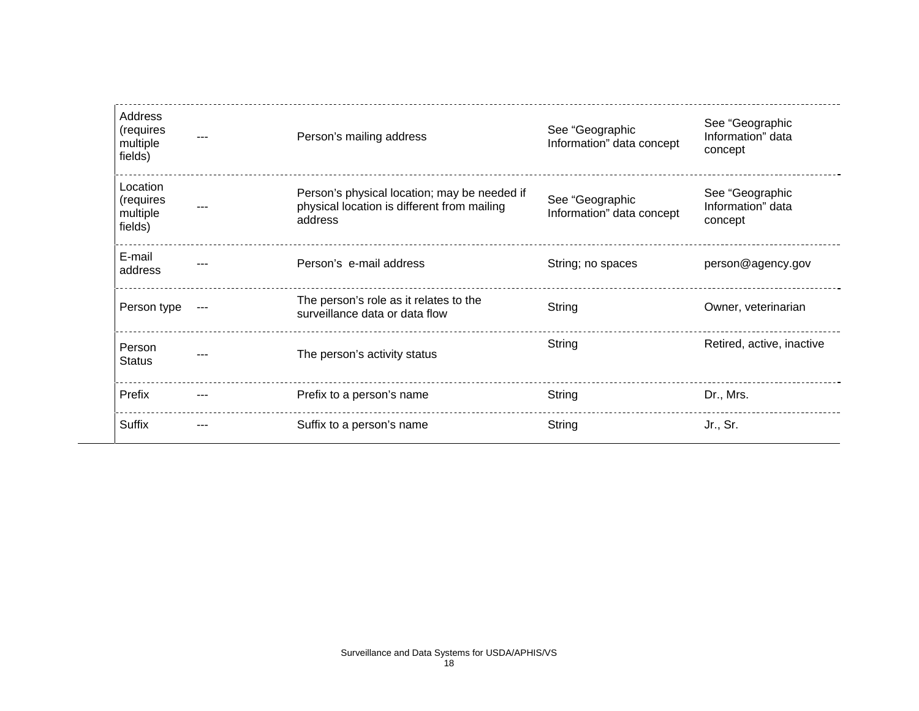| Address<br>(requires<br>multiple<br>fields)  | Person's mailing address                                                                               | See "Geographic<br>Information" data concept | See "Geographic<br>Information" data<br>concept |
|----------------------------------------------|--------------------------------------------------------------------------------------------------------|----------------------------------------------|-------------------------------------------------|
| Location<br>(requires<br>multiple<br>fields) | Person's physical location; may be needed if<br>physical location is different from mailing<br>address | See "Geographic<br>Information" data concept | See "Geographic<br>Information" data<br>concept |
| E-mail<br>address                            | Person's e-mail address                                                                                | String; no spaces                            | person@agency.gov                               |
| Person type                                  | The person's role as it relates to the<br>surveillance data or data flow                               | String                                       | Owner, veterinarian                             |
| Person<br><b>Status</b>                      | The person's activity status                                                                           | String                                       | Retired, active, inactive                       |
| Prefix                                       | Prefix to a person's name                                                                              | String                                       | Dr., Mrs.                                       |
| <b>Suffix</b>                                | Suffix to a person's name                                                                              | String                                       | Jr., Sr.                                        |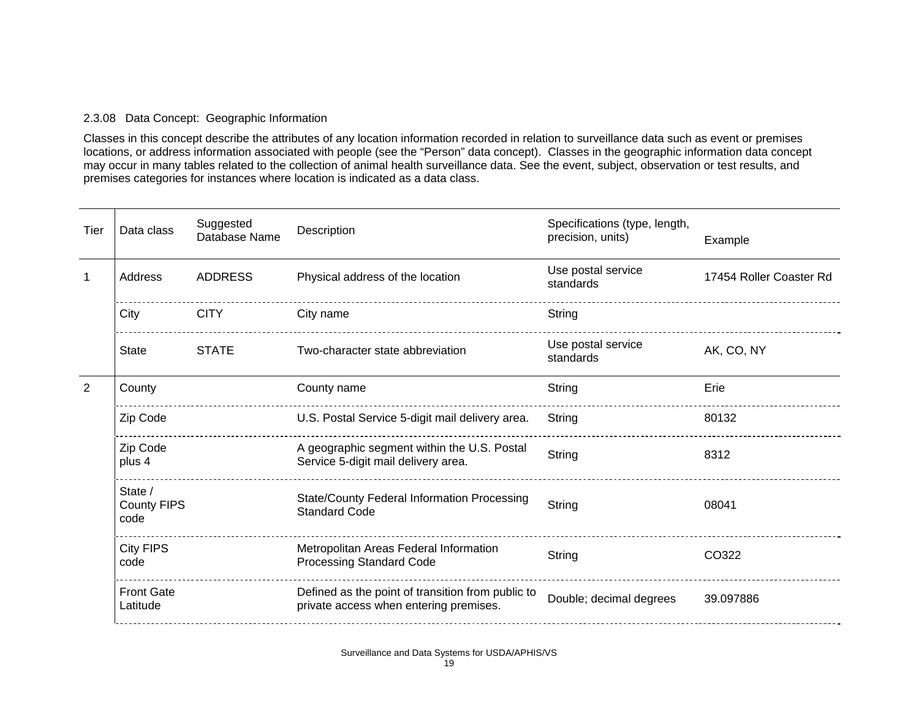#### 2.3.08 Data Concept: Geographic Information

Classes in this concept describe the attributes of any location information recorded in relation to surveillance data such as event or premises locations, or address information associated with people (see the "Person" data concept). Classes in the geographic information data concept may occur in many tables related to the collection of animal health surveillance data. See the event, subject, observation or test results, and premises categories for instances where location is indicated as a data class.

| Tier         | Data class                            | Suggested<br>Database Name | Description                                                                                 | Specifications (type, length,<br>precision, units) | Example                 |
|--------------|---------------------------------------|----------------------------|---------------------------------------------------------------------------------------------|----------------------------------------------------|-------------------------|
| $\mathbf{1}$ | Address                               | <b>ADDRESS</b>             | Physical address of the location                                                            | Use postal service<br>standards                    | 17454 Roller Coaster Rd |
|              | City                                  | <b>CITY</b>                | City name                                                                                   | String                                             |                         |
|              | <b>State</b>                          | <b>STATE</b>               | Two-character state abbreviation                                                            | Use postal service<br>standards                    | AK, CO, NY              |
| 2            | County                                |                            | County name                                                                                 | String                                             | Erie                    |
|              | Zip Code                              |                            | U.S. Postal Service 5-digit mail delivery area.                                             | String                                             | 80132                   |
|              | Zip Code<br>plus 4                    |                            | A geographic segment within the U.S. Postal<br>Service 5-digit mail delivery area.          | String                                             | 8312                    |
|              | State /<br><b>County FIPS</b><br>code |                            | State/County Federal Information Processing<br><b>Standard Code</b>                         | String                                             | 08041                   |
|              | <b>City FIPS</b><br>code              |                            | Metropolitan Areas Federal Information<br><b>Processing Standard Code</b>                   | String                                             | CO322                   |
|              | <b>Front Gate</b><br>Latitude         |                            | Defined as the point of transition from public to<br>private access when entering premises. | Double; decimal degrees                            | 39.097886               |
|              |                                       |                            |                                                                                             |                                                    |                         |